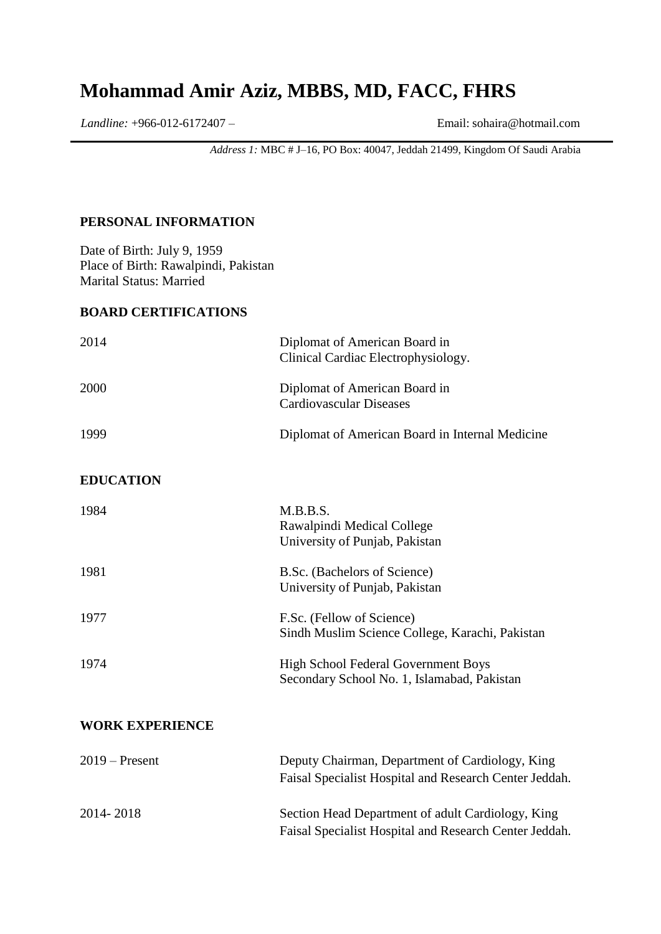# **Mohammad Amir Aziz, MBBS, MD, FACC, FHRS**

*Landline:* +966-012-6172407 – Email: [sohaira@hotmail.com](mailto:sohaira@hotmail.com)

*Address 1:* MBC # J–16, PO Box: 40047, Jeddah 21499, Kingdom Of Saudi Arabia

#### **PERSONAL INFORMATION**

Date of Birth: July 9, 1959 Place of Birth: Rawalpindi, Pakistan Marital Status: Married

#### **BOARD CERTIFICATIONS**

| 2014                   | Diplomat of American Board in<br>Clinical Cardiac Electrophysiology.                                        |
|------------------------|-------------------------------------------------------------------------------------------------------------|
| 2000                   | Diplomat of American Board in<br><b>Cardiovascular Diseases</b>                                             |
| 1999                   | Diplomat of American Board in Internal Medicine                                                             |
| <b>EDUCATION</b>       |                                                                                                             |
| 1984                   | M.B.B.S.<br>Rawalpindi Medical College<br>University of Punjab, Pakistan                                    |
| 1981                   | B.Sc. (Bachelors of Science)<br>University of Punjab, Pakistan                                              |
| 1977                   | F.Sc. (Fellow of Science)<br>Sindh Muslim Science College, Karachi, Pakistan                                |
| 1974                   | High School Federal Government Boys<br>Secondary School No. 1, Islamabad, Pakistan                          |
| <b>WORK EXPERIENCE</b> |                                                                                                             |
| $2019$ – Present       | Deputy Chairman, Department of Cardiology, King<br>Faisal Specialist Hospital and Research Center Jeddah.   |
| 2014-2018              | Section Head Department of adult Cardiology, King<br>Faisal Specialist Hospital and Research Center Jeddah. |
|                        |                                                                                                             |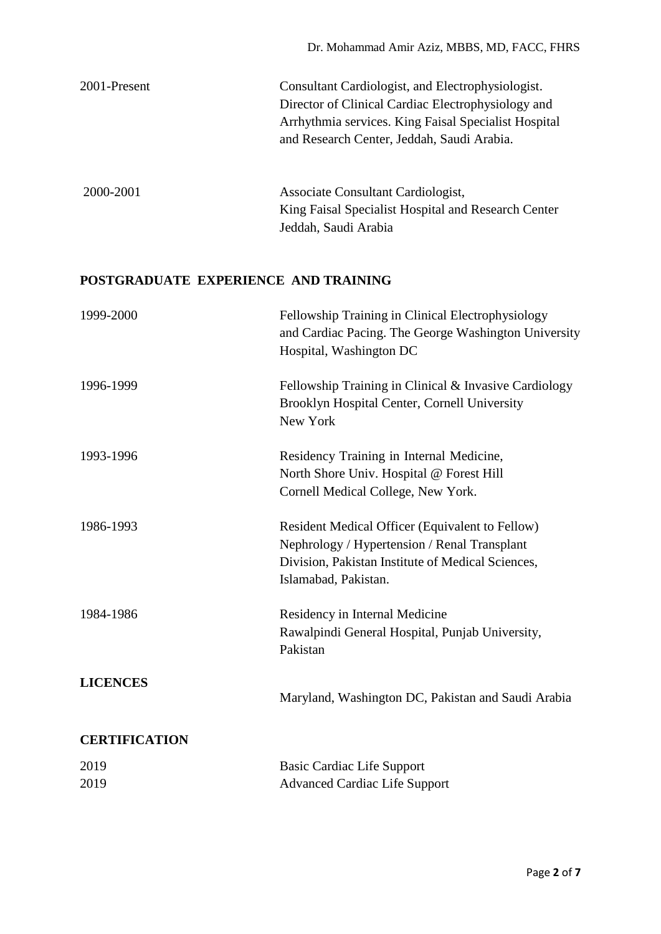| 2001-Present                         | Consultant Cardiologist, and Electrophysiologist.<br>Director of Clinical Cardiac Electrophysiology and<br>Arrhythmia services. King Faisal Specialist Hospital<br>and Research Center, Jeddah, Saudi Arabia. |  |
|--------------------------------------|---------------------------------------------------------------------------------------------------------------------------------------------------------------------------------------------------------------|--|
| 2000-2001                            | Associate Consultant Cardiologist,<br>King Faisal Specialist Hospital and Research Center<br>Jeddah, Saudi Arabia                                                                                             |  |
| POSTGRADUATE EXPERIENCE AND TRAINING |                                                                                                                                                                                                               |  |
| 1999-2000                            | Fellowship Training in Clinical Electrophysiology<br>and Cardiac Pacing. The George Washington University<br>Hospital, Washington DC                                                                          |  |
| 1996-1999                            | Fellowship Training in Clinical & Invasive Cardiology<br>Brooklyn Hospital Center, Cornell University<br>New York                                                                                             |  |
| 1993-1996                            | Residency Training in Internal Medicine,<br>North Shore Univ. Hospital @ Forest Hill<br>Cornell Medical College, New York.                                                                                    |  |
| 1986-1993                            | Resident Medical Officer (Equivalent to Fellow)<br>Nephrology / Hypertension / Renal Transplant<br>Division, Pakistan Institute of Medical Sciences,<br>Islamabad, Pakistan.                                  |  |
| 1984-1986                            | Residency in Internal Medicine<br>Rawalpindi General Hospital, Punjab University,<br>Pakistan                                                                                                                 |  |
| <b>LICENCES</b>                      | Maryland, Washington DC, Pakistan and Saudi Arabia                                                                                                                                                            |  |
| <b>CERTIFICATION</b>                 |                                                                                                                                                                                                               |  |
| 2019                                 | Basic Cardiac Life Support                                                                                                                                                                                    |  |
| 2019                                 | <b>Advanced Cardiac Life Support</b>                                                                                                                                                                          |  |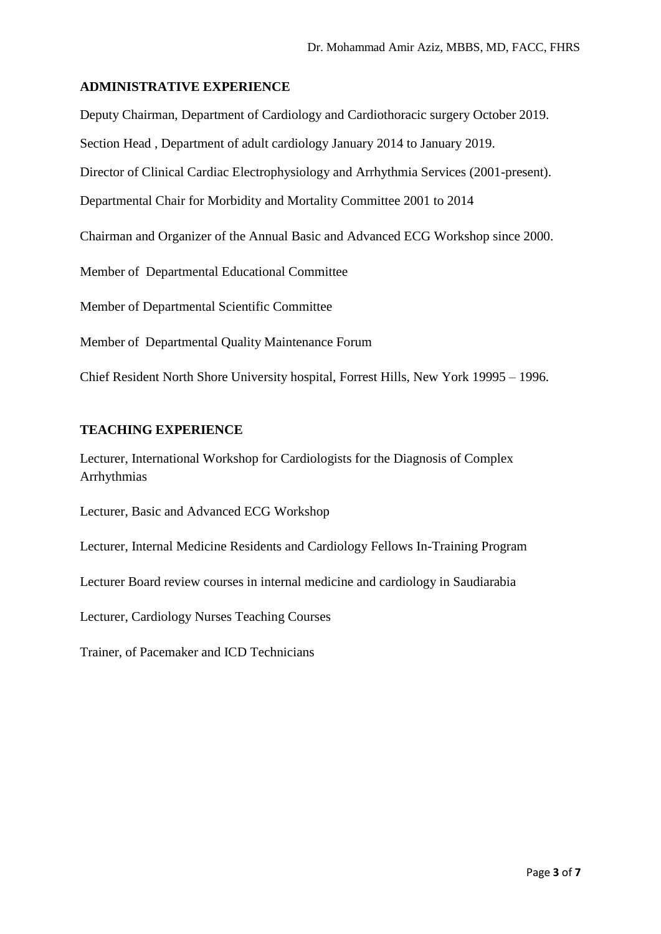#### **ADMINISTRATIVE EXPERIENCE**

Deputy Chairman, Department of Cardiology and Cardiothoracic surgery October 2019. Section Head , Department of adult cardiology January 2014 to January 2019. Director of Clinical Cardiac Electrophysiology and Arrhythmia Services (2001-present). Departmental Chair for Morbidity and Mortality Committee 2001 to 2014 Chairman and Organizer of the Annual Basic and Advanced ECG Workshop since 2000. Member of Departmental Educational Committee Member of Departmental Scientific Committee Member of Departmental Quality Maintenance Forum

Chief Resident North Shore University hospital, Forrest Hills, New York 19995 – 1996.

## **TEACHING EXPERIENCE**

Lecturer, International Workshop for Cardiologists for the Diagnosis of Complex Arrhythmias

Lecturer, Basic and Advanced ECG Workshop

Lecturer, Internal Medicine Residents and Cardiology Fellows In-Training Program

Lecturer Board review courses in internal medicine and cardiology in Saudiarabia

Lecturer, Cardiology Nurses Teaching Courses

Trainer, of Pacemaker and ICD Technicians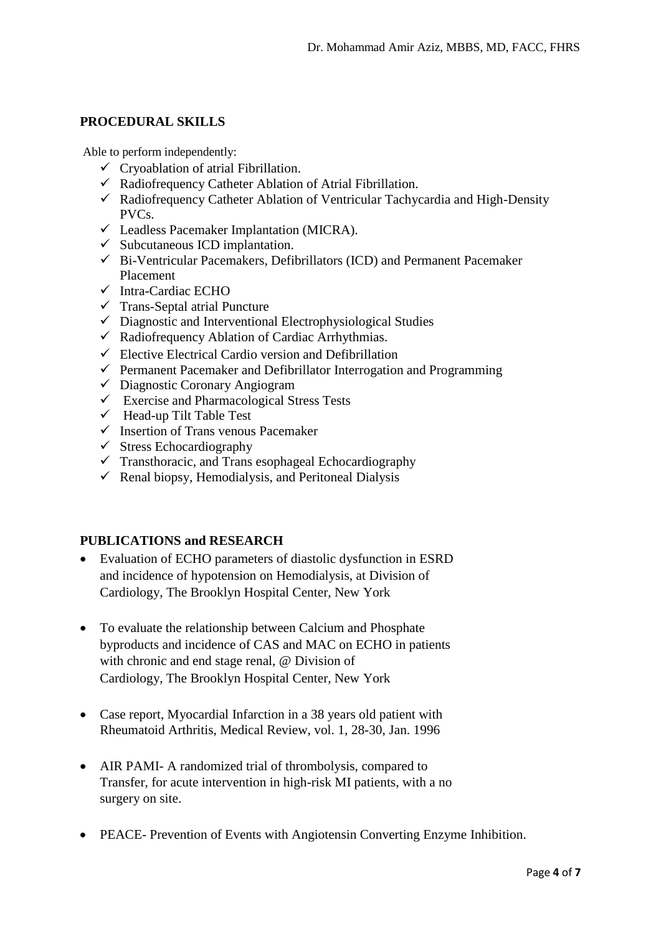### **PROCEDURAL SKILLS**

Able to perform independently:

- $\checkmark$  Cryoablation of atrial Fibrillation.
- $\checkmark$  Radiofrequency Catheter Ablation of Atrial Fibrillation.
- Radiofrequency Catheter Ablation of Ventricular Tachycardia and High-Density PVCs.
- Leadless Pacemaker Implantation (MICRA).
- $\checkmark$  Subcutaneous ICD implantation.
- $\checkmark$  Bi-Ventricular Pacemakers, Defibrillators (ICD) and Permanent Pacemaker Placement
- $\checkmark$  Intra-Cardiac ECHO
- $\checkmark$  Trans-Septal atrial Puncture
- $\checkmark$  Diagnostic and Interventional Electrophysiological Studies
- $\checkmark$  Radiofrequency Ablation of Cardiac Arrhythmias.
- $\checkmark$  Elective Electrical Cardio version and Defibrillation
- $\checkmark$  Permanent Pacemaker and Defibrillator Interrogation and Programming
- $\checkmark$  Diagnostic Coronary Angiogram
- $\checkmark$  Exercise and Pharmacological Stress Tests
- $\checkmark$  Head-up Tilt Table Test
- $\checkmark$  Insertion of Trans venous Pacemaker
- $\checkmark$  Stress Echocardiography
- $\checkmark$  Transthoracic, and Trans esophageal Echocardiography
- $\checkmark$  Renal biopsy, Hemodialysis, and Peritoneal Dialysis

## **PUBLICATIONS and RESEARCH**

- Evaluation of ECHO parameters of diastolic dysfunction in ESRD and incidence of hypotension on Hemodialysis, at Division of Cardiology, The Brooklyn Hospital Center, New York
- To evaluate the relationship between Calcium and Phosphate byproducts and incidence of CAS and MAC on ECHO in patients with chronic and end stage renal, @ Division of Cardiology, The Brooklyn Hospital Center, New York
- Case report, Myocardial Infarction in a 38 years old patient with Rheumatoid Arthritis, Medical Review, vol. 1, 28-30, Jan. 1996
- AIR PAMI- A randomized trial of thrombolysis, compared to Transfer, for acute intervention in high-risk MI patients, with a no surgery on site.
- PEACE- Prevention of Events with Angiotensin Converting Enzyme Inhibition.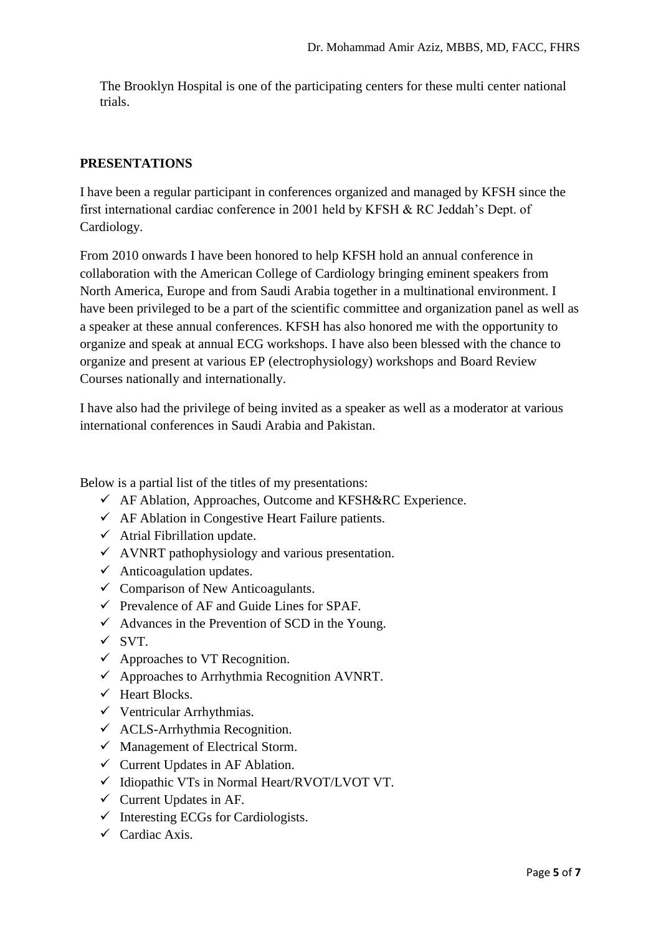The Brooklyn Hospital is one of the participating centers for these multi center national trials.

### **PRESENTATIONS**

I have been a regular participant in conferences organized and managed by KFSH since the first international cardiac conference in 2001 held by KFSH & RC Jeddah's Dept. of Cardiology.

From 2010 onwards I have been honored to help KFSH hold an annual conference in collaboration with the American College of Cardiology bringing eminent speakers from North America, Europe and from Saudi Arabia together in a multinational environment. I have been privileged to be a part of the scientific committee and organization panel as well as a speaker at these annual conferences. KFSH has also honored me with the opportunity to organize and speak at annual ECG workshops. I have also been blessed with the chance to organize and present at various EP (electrophysiology) workshops and Board Review Courses nationally and internationally.

I have also had the privilege of being invited as a speaker as well as a moderator at various international conferences in Saudi Arabia and Pakistan.

Below is a partial list of the titles of my presentations:

- AF Ablation, Approaches, Outcome and KFSH&RC Experience.
- $\checkmark$  AF Ablation in Congestive Heart Failure patients.
- $\checkmark$  Atrial Fibrillation update.
- $\checkmark$  AVNRT pathophysiology and various presentation.
- $\checkmark$  Anticoagulation updates.
- $\checkmark$  Comparison of New Anticoagulants.
- $\checkmark$  Prevalence of AF and Guide Lines for SPAF.
- $\checkmark$  Advances in the Prevention of SCD in the Young.
- $\times$  SVT.
- $\checkmark$  Approaches to VT Recognition.
- $\checkmark$  Approaches to Arrhythmia Recognition AVNRT.
- $\checkmark$  Heart Blocks.
- $\checkmark$  Ventricular Arrhythmias.
- $\checkmark$  ACLS-Arrhythmia Recognition.
- $\checkmark$  Management of Electrical Storm.
- $\checkmark$  Current Updates in AF Ablation.
- $\checkmark$  Idiopathic VTs in Normal Heart/RVOT/LVOT VT.
- $\checkmark$  Current Updates in AF.
- $\checkmark$  Interesting ECGs for Cardiologists.
- $\checkmark$  Cardiac Axis.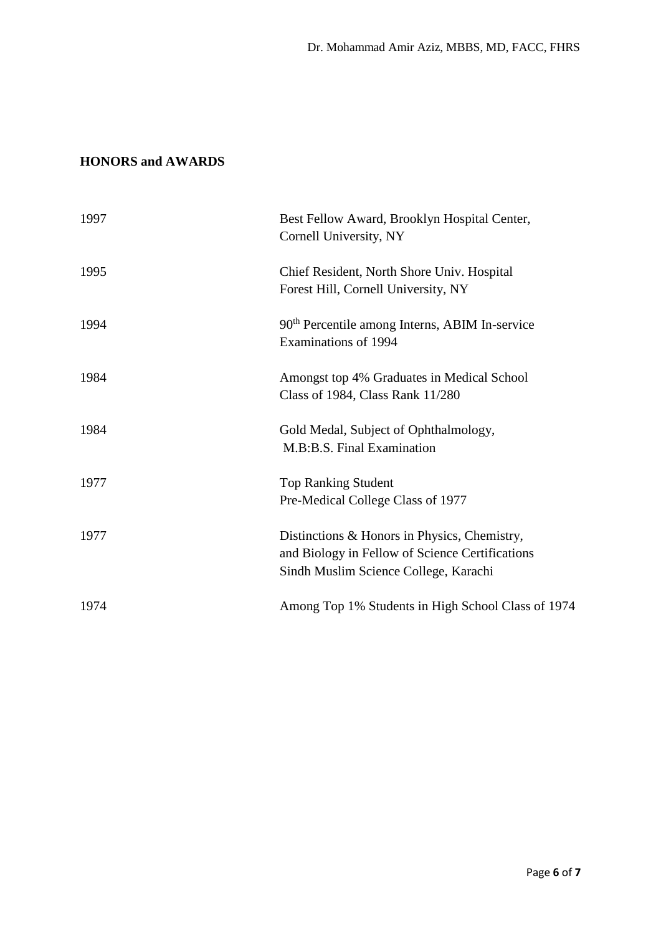# **HONORS and AWARDS**

| 1997 | Best Fellow Award, Brooklyn Hospital Center,<br>Cornell University, NY                                                                   |
|------|------------------------------------------------------------------------------------------------------------------------------------------|
| 1995 | Chief Resident, North Shore Univ. Hospital<br>Forest Hill, Cornell University, NY                                                        |
| 1994 | 90 <sup>th</sup> Percentile among Interns, ABIM In-service<br>Examinations of 1994                                                       |
| 1984 | Amongst top 4% Graduates in Medical School<br>Class of 1984, Class Rank 11/280                                                           |
| 1984 | Gold Medal, Subject of Ophthalmology,<br>M.B:B.S. Final Examination                                                                      |
| 1977 | <b>Top Ranking Student</b><br>Pre-Medical College Class of 1977                                                                          |
| 1977 | Distinctions & Honors in Physics, Chemistry,<br>and Biology in Fellow of Science Certifications<br>Sindh Muslim Science College, Karachi |
| 1974 | Among Top 1% Students in High School Class of 1974                                                                                       |